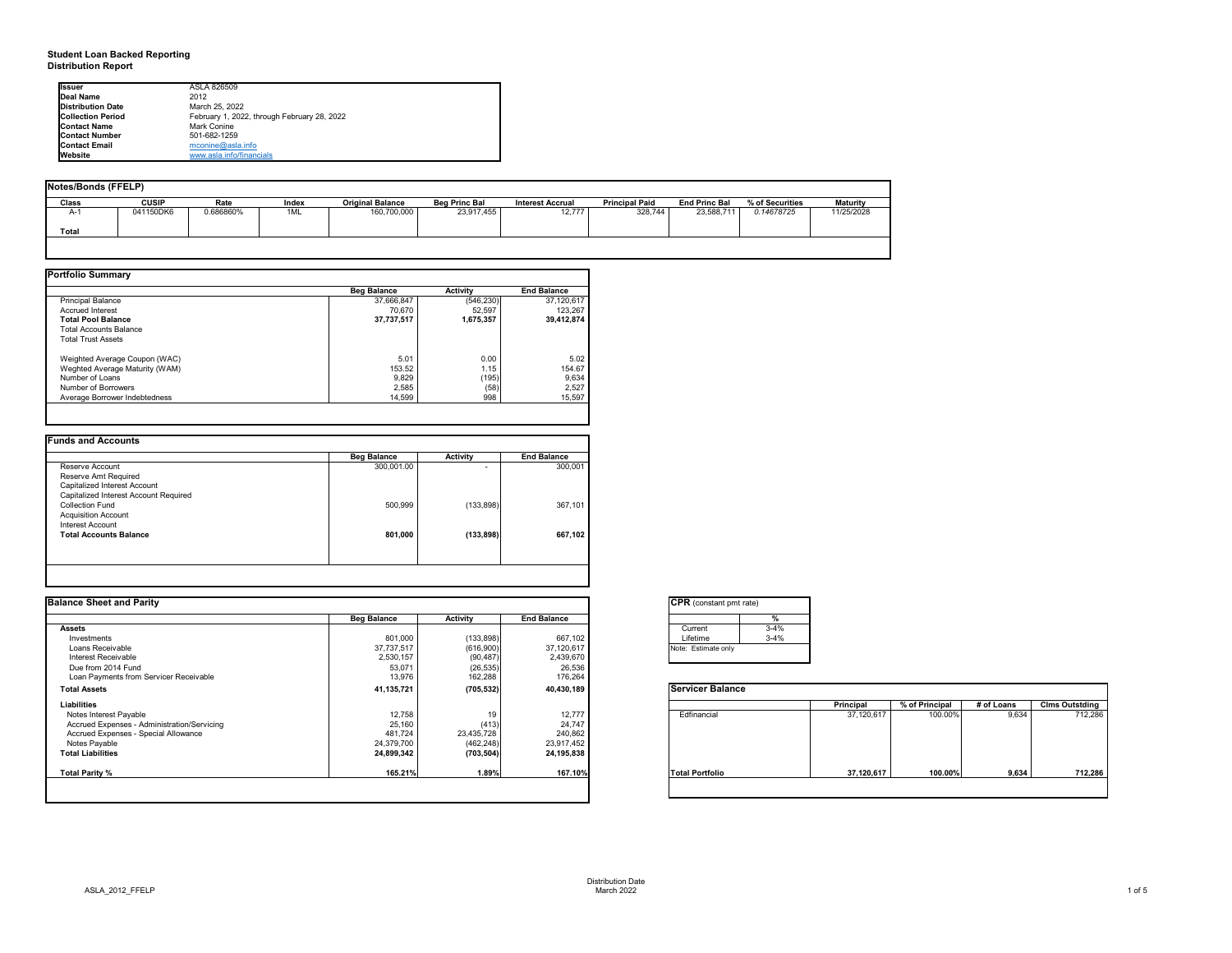## **Student Loan Backed Reporting Distribution Report**

## **Notes/Bonds (FFELP)**

| Notes/Bonds (FFELP) |              |           |       |                         |                      |                         |                       |                      |                 |                 |
|---------------------|--------------|-----------|-------|-------------------------|----------------------|-------------------------|-----------------------|----------------------|-----------------|-----------------|
| Class               | <b>CUSIP</b> | Rate      | Index | <b>Original Balance</b> | <b>Beg Princ Bal</b> | <b>Interest Accrual</b> | <b>Principal Paid</b> | <b>End Princ Bal</b> | % of Securities | <b>Maturity</b> |
| $A-1$               | 041150DK6    | 0.686860% | 1ML   | 160,700,000             | 23,917,455           | 12,777                  | 328,744               | 23,588,711           | 0.14678725      | 11/25/2028      |
| <b>Total</b>        |              |           |       |                         |                      |                         |                       |                      |                 |                 |
|                     |              |           |       |                         |                      |                         |                       |                      |                 |                 |

| <b>Portfolio Summary</b>       |                    |                 |                    |
|--------------------------------|--------------------|-----------------|--------------------|
|                                | <b>Beg Balance</b> | <b>Activity</b> | <b>End Balance</b> |
| <b>Principal Balance</b>       | 37,666,847         | (546, 230)      | 37,120,617         |
| <b>Accrued Interest</b>        | 70,670             | 52,597          | 123,267            |
| <b>Total Pool Balance</b>      | 37,737,517         | 1,675,357       | 39,412,874         |
| <b>Total Accounts Balance</b>  |                    |                 |                    |
| <b>Total Trust Assets</b>      |                    |                 |                    |
| Weighted Average Coupon (WAC)  | 5.01               | 0.00            | 5.02               |
| Weghted Average Maturity (WAM) | 153.52             | 1.15            | 154.67             |
| Number of Loans                | 9,829              | (195)           | 9,634              |
| Number of Borrowers            | 2,585              | (58)            | 2,527              |
| Average Borrower Indebtedness  | 14,599             | 998             | 15,597             |
|                                |                    |                 |                    |

|                                       | <b>Beg Balance</b> | <b>Activity</b> | <b>End Balance</b> |
|---------------------------------------|--------------------|-----------------|--------------------|
| Reserve Account                       | 300,001.00         |                 | 300,001            |
| Reserve Amt Required                  |                    |                 |                    |
| Capitalized Interest Account          |                    |                 |                    |
| Capitalized Interest Account Required |                    |                 |                    |
| <b>Collection Fund</b>                | 500,999            | (133, 898)      | 367,101            |
| <b>Acquisition Account</b>            |                    |                 |                    |
| <b>Interest Account</b>               |                    |                 |                    |
| <b>Total Accounts Balance</b>         | 801,000            | (133, 898)      | 667,102            |
|                                       |                    |                 |                    |
|                                       |                    |                 |                    |

| onstant pmt rate) |          |
|-------------------|----------|
|                   | %        |
| ent               | $3-4%$   |
| me                | $3 - 4%$ |
| timate only       |          |
|                   |          |

|          | Principal  | % of Principal | # of Loans | <b>Clms Outstding</b> |
|----------|------------|----------------|------------|-----------------------|
| ancial   | 37,120,617 | 100.00%        | 9,634      | 712,286               |
| ortfolio | 37,120,617 | 100.00%        | 9,634      | 712,286               |

| <b>Ilssuer</b>           | ASLA 826509                                 |
|--------------------------|---------------------------------------------|
| Deal Name                | 2012                                        |
| Distribution Date        | March 25, 2022                              |
| <b>Collection Period</b> | February 1, 2022, through February 28, 2022 |
| <b>Contact Name</b>      | Mark Conine                                 |
| <b>Contact Number</b>    | 501-682-1259                                |
| <b>Contact Email</b>     | $m$ conine@asla.info                        |
| <b>I</b> Website         | www.asla.info/financials                    |

| <b>Balance Sheet and Parity</b>             |                    |                 |                    | <b>CPR</b> (constant pmt rate) |                  |                |            |                       |
|---------------------------------------------|--------------------|-----------------|--------------------|--------------------------------|------------------|----------------|------------|-----------------------|
|                                             | <b>Beg Balance</b> | <b>Activity</b> | <b>End Balance</b> | %                              |                  |                |            |                       |
| <b>Assets</b>                               |                    |                 |                    | $3 - 4%$<br>Current            |                  |                |            |                       |
| Investments                                 | 801,000            | (133, 898)      | 667,102            | Lifetime<br>$3 - 4%$           |                  |                |            |                       |
| Loans Receivable                            | 37,737,517         | (616,900)       | 37,120,617         | Note: Estimate only            |                  |                |            |                       |
| Interest Receivable                         | 2,530,157          | (90, 487)       | 2,439,670          |                                |                  |                |            |                       |
| Due from 2014 Fund                          | 53,071             | (26, 535)       | 26,536             |                                |                  |                |            |                       |
| Loan Payments from Servicer Receivable      | 13,976             | 162,288         | 176,264            |                                |                  |                |            |                       |
| <b>Total Assets</b>                         | 41,135,721         | (705, 532)      | 40,430,189         | <b>Servicer Balance</b>        |                  |                |            |                       |
| <b>Liabilities</b>                          |                    |                 |                    |                                | <b>Principal</b> | % of Principal | # of Loans | <b>Clms Outstding</b> |
| Notes Interest Payable                      | 12,758             | 19              | 12,777             | Edfinancial                    | 37,120,617       | 100.00%        | 9,634      | 712,286               |
| Accrued Expenses - Administration/Servicing | 25,160             | (413)           | 24,747             |                                |                  |                |            |                       |
| Accrued Expenses - Special Allowance        | 481,724            | 23,435,728      | 240,862            |                                |                  |                |            |                       |
| Notes Payable                               | 24,379,700         | (462, 248)      | 23,917,452         |                                |                  |                |            |                       |
| <b>Total Liabilities</b>                    | 24,899,342         | (703, 504)      | 24, 195, 838       |                                |                  |                |            |                       |
| Total Parity %                              | 165.21%            | 1.89%           | 167.10%            | Total Portfolio                | 37,120,617       | 100.00%        | 9,634      | 712,286               |
|                                             |                    |                 |                    |                                |                  |                |            |                       |

| $\overline{\textsf{CPR}}$ ( |   |
|-----------------------------|---|
|                             |   |
| Curr                        |   |
| Lifet                       |   |
| Note:                       | F |
|                             |   |
|                             |   |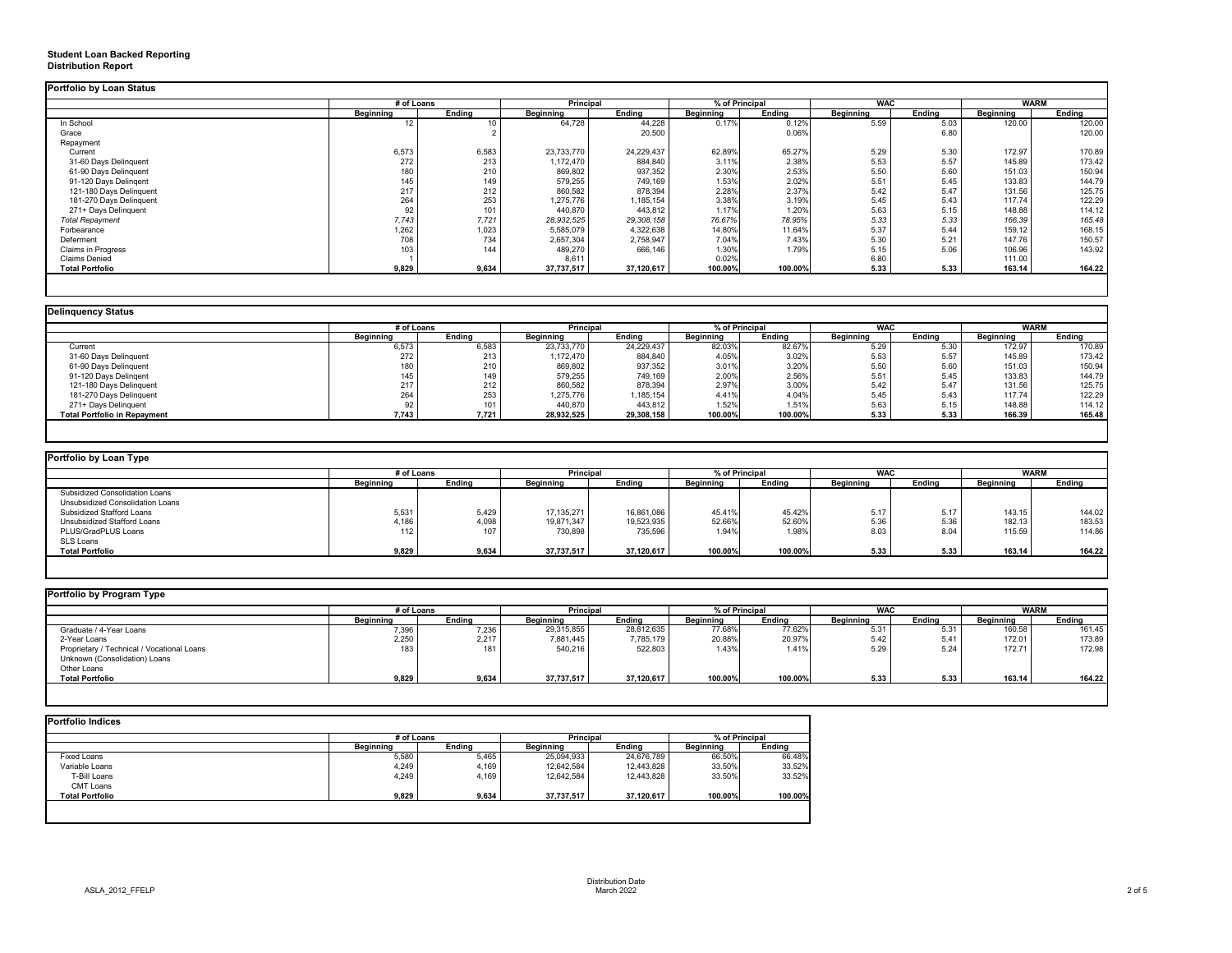## **Student Loan Backed Reporting Distribution Report**

|                           | # of Loans       |                 | <b>Principal</b> |               | % of Principal   |         | <b>WAC</b>       |               | <b>WARM</b>      |        |
|---------------------------|------------------|-----------------|------------------|---------------|------------------|---------|------------------|---------------|------------------|--------|
|                           | <b>Beginning</b> | Ending          | <b>Beginning</b> | <b>Ending</b> | <b>Beginning</b> | Ending  | <b>Beginning</b> | <b>Ending</b> | <b>Beginning</b> | Ending |
| In School                 | 12               | 10 <sup>°</sup> | 64,728           | 44,228        | 0.17%            | 0.12%   | 5.59             | 5.03          | 120.00           | 120.00 |
| Grace                     |                  |                 |                  | 20,500        |                  | 0.06%   |                  | 6.80          |                  | 120.00 |
| Repayment                 |                  |                 |                  |               |                  |         |                  |               |                  |        |
| Current                   | 6,573            | 6,583           | 23,733,770       | 24,229,437    | 62.89%           | 65.27%  | 5.29             | 5.30          | 172.97           | 170.89 |
| 31-60 Days Delinquent     | 272              | 213             | 1,172,470        | 884,840       | 3.11%            | 2.38%   | 5.53             | 5.57          | 145.89           | 173.42 |
| 61-90 Days Delinquent     | 180              | 210             | 869,802          | 937,352       | 2.30%            | 2.53%   | 5.50             | 5.60          | 151.03           | 150.94 |
| 91-120 Days Delingent     | 145              | 149             | 579,255          | 749,169       | 1.53%            | 2.02%   | 5.51             | 5.45          | 133.83           | 144.79 |
| 121-180 Days Delinquent   | 217              | 212             | 860,582          | 878,394       | 2.28%            | 2.37%   | 5.42             | 5.47          | 131.56           | 125.75 |
| 181-270 Days Delinquent   | 264              | 253             | 1,275,776        | ,185,154      | 3.38%            | 3.19%   | 5.45             | 5.43          | 117.74           | 122.29 |
| 271+ Days Delinquent      | 92               | 101             | 440,870          | 443,812       | 1.17%            | 1.20%   | 5.63             | 5.15          | 148.88           | 114.12 |
| <b>Total Repayment</b>    | 7,743            | 7,721           | 28,932,525       | 29,308,158    | 76.67%           | 78.95%  | 5.33             | 5.33          | 166.39           | 165.48 |
| Forbearance               | 1,262            | 1,023           | 5,585,079        | 4,322,638     | 14.80%           | 11.64%  | 5.37             | 5.44          | 159.12           | 168.15 |
| Deferment                 | 708              | 734             | 2,657,304        | 2,758,947     | 7.04%            | 7.43%   | 5.30             | 5.21          | 147.76           | 150.57 |
| <b>Claims in Progress</b> | 103              | 144             | 489,270          | 666,146       | 1.30%            | 1.79%   | 5.15             | 5.06          | 106.96           | 143.92 |
| <b>Claims Denied</b>      |                  |                 | 8,611            |               | 0.02%            |         | 6.80             |               | 111.00           |        |
| <b>Total Portfolio</b>    | 9,829            | 9,634           | 37,737,517       | 37,120,617    | 100.00%          | 100.00% | 5.33             | 5.33          | 163.14           | 164.22 |

| <b>Delinguency Status</b>           |                  |        |                  |               |                  |               |                  |               |                  |               |
|-------------------------------------|------------------|--------|------------------|---------------|------------------|---------------|------------------|---------------|------------------|---------------|
|                                     | # of Loans       |        | <b>Principal</b> |               | % of Principal   |               | <b>WAC</b>       |               | <b>WARM</b>      |               |
|                                     | <b>Beginning</b> | Ending | <b>Beginning</b> | <b>Ending</b> | <b>Beginning</b> | <b>Ending</b> | <b>Beginning</b> | <b>Ending</b> | <b>Beginning</b> | <b>Ending</b> |
| Current                             | 6,573            | 6,583  | 23,733,770       | 24,229,437    | 82.03%           | 82.67%        | 5.29             | 5.30          | 172.97           | 170.89        |
| 31-60 Days Delinquent               | 272              | 213    | 1,172,470        | 884,840       | 4.05%            | 3.02%         | 5.53             | 5.57          | 145.89           | 173.42        |
| 61-90 Days Delinquent               | 180              | 210    | 869,802          | 937,352       | 3.01%            | 3.20%         | 5.50             | 5.60          | 151.03           | 150.94        |
| 91-120 Days Delingent               | 145              | 149    | 579,255          | 749,169       | 2.00%            | 2.56%         | 5.51             | 5.45          | 133.83           | 144.79        |
| 121-180 Days Delinquent             | 217              | 212    | 860,582          | 878,394       | 2.97%            | 3.00%         | 5.42             | 5.47          | 131.56           | 125.75        |
| 181-270 Days Delinquent             | 264              | 253    | 1,275,776        | 1,185,154     | 4.41%            | 4.04%         | 5.45             | 5.43          | 117.74           | 122.29        |
| 271+ Days Delinquent                | 92               | 101    | 440,870          | 443,812       | 1.52%            | 1.51%         | 5.63             | 5.15          | 148.88           | 114.12        |
| <b>Total Portfolio in Repayment</b> | 7,743            | 7,721  | 28,932,525       | 29,308,158    | 100.00%          | 100.00%       | 5.33             | 5.33          | 166.39           | 165.48        |
|                                     |                  |        |                  |               |                  |               |                  |               |                  |               |

| Portfolio by Loan Type                |                  |               |                  |               |                |               |                  |               |                  |               |
|---------------------------------------|------------------|---------------|------------------|---------------|----------------|---------------|------------------|---------------|------------------|---------------|
|                                       | # of Loans       |               | <b>Principal</b> |               | % of Principal |               | <b>WAC</b>       |               | <b>WARM</b>      |               |
|                                       | <b>Beginning</b> | <b>Ending</b> | <b>Beginning</b> | <b>Ending</b> | Beginning      | <b>Ending</b> | <b>Beginning</b> | <b>Ending</b> | <b>Beginning</b> | <b>Ending</b> |
| <b>Subsidized Consolidation Loans</b> |                  |               |                  |               |                |               |                  |               |                  |               |
| Unsubsidized Consolidation Loans      |                  |               |                  |               |                |               |                  |               |                  |               |
| <b>Subsidized Stafford Loans</b>      | 5,531            | 5,429         | 17,135,271       | 16,861,086    | 45.41%         | 45.42%        | 5.17             | 5.17          | 143.15           | 144.02        |
| Unsubsidized Stafford Loans           | 1,186            | 4,098         | 19,871,347       | 19,523,935    | 52.66%         | 52.60%        | 5.36             | 5.36          | 182.13           | 183.53        |
| PLUS/GradPLUS Loans                   | 112              | 107           | 730,898          | 735,596       | 1.94%          | 1.98%         | 8.03             | 8.04          | 115.59           | 114.86        |
| <b>SLS Loans</b>                      |                  |               |                  |               |                |               |                  |               |                  |               |
| <b>Total Portfolio</b>                | 9,829            | 9,634         | 37,737,517       | 37,120,617    | 100.00%        | 100.00%       | 5.33             | 5.33          | 163.14           | 164.22        |
|                                       |                  |               |                  |               |                |               |                  |               |                  |               |

|                                            | # of Loans       |               | Principal        |               | % of Principal   |               | <b>WAC</b>       |               | <b>WARM</b>      |               |
|--------------------------------------------|------------------|---------------|------------------|---------------|------------------|---------------|------------------|---------------|------------------|---------------|
|                                            | <b>Beginning</b> | <b>Ending</b> | <b>Beginning</b> | <b>Ending</b> | <b>Beginning</b> | <b>Ending</b> | <b>Beginning</b> | <b>Ending</b> | <b>Beginning</b> | <b>Ending</b> |
| Graduate / 4-Year Loans                    | 7,396            | 7,236         | 29,315,855       | 28,812,635    | 77.68%           | 77.62%        | 5.31             | 5.31          | 160.58           | 161.45        |
| 2-Year Loans                               | 2,250            | 2,217         | 7,881,445        | 7,785,179     | 20.88%           | 20.97%        | 5.42             | 5.41          | 172.01           | 173.89        |
| Proprietary / Technical / Vocational Loans | 183              | 181           | 540,216          | 522,803       | 1.43%            | 1.41%         | 5.29             | 5.24          | 172.71           | 172.98        |
| Unknown (Consolidation) Loans              |                  |               |                  |               |                  |               |                  |               |                  |               |
| Other Loans                                |                  |               |                  |               |                  |               |                  |               |                  |               |
| <b>Total Portfolio</b>                     | 9,829            | 9,634         | 37,737,517       | 37,120,617    | 100.00%          | 100.00%       | 5.33             | 5.33          | 163.14           | 164.22        |

|                        |                  | # of Loans    |                  | <b>Principal</b> |                  | % of Principal |  |
|------------------------|------------------|---------------|------------------|------------------|------------------|----------------|--|
|                        | <b>Beginning</b> | <b>Ending</b> | <b>Beginning</b> | <b>Ending</b>    | <b>Beginning</b> | <b>Ending</b>  |  |
| <b>Fixed Loans</b>     | 5,580            | 5,465         | 25,094,933       | 24,676,789       | 66.50%           | 66.48%         |  |
| Variable Loans         | 4,249            | 4,169         | 12,642,584       | 12,443,828       | 33.50%           | 33.52%         |  |
| T-Bill Loans           | 4,249            | 4,169         | 12,642,584       | 12,443,828       | 33.50%           | 33.52%         |  |
| <b>CMT Loans</b>       |                  |               |                  |                  |                  |                |  |
| <b>Total Portfolio</b> | 9,829            | 9,634         | 37,737,517       | 37,120,617       | 100.00%          | 100.00%        |  |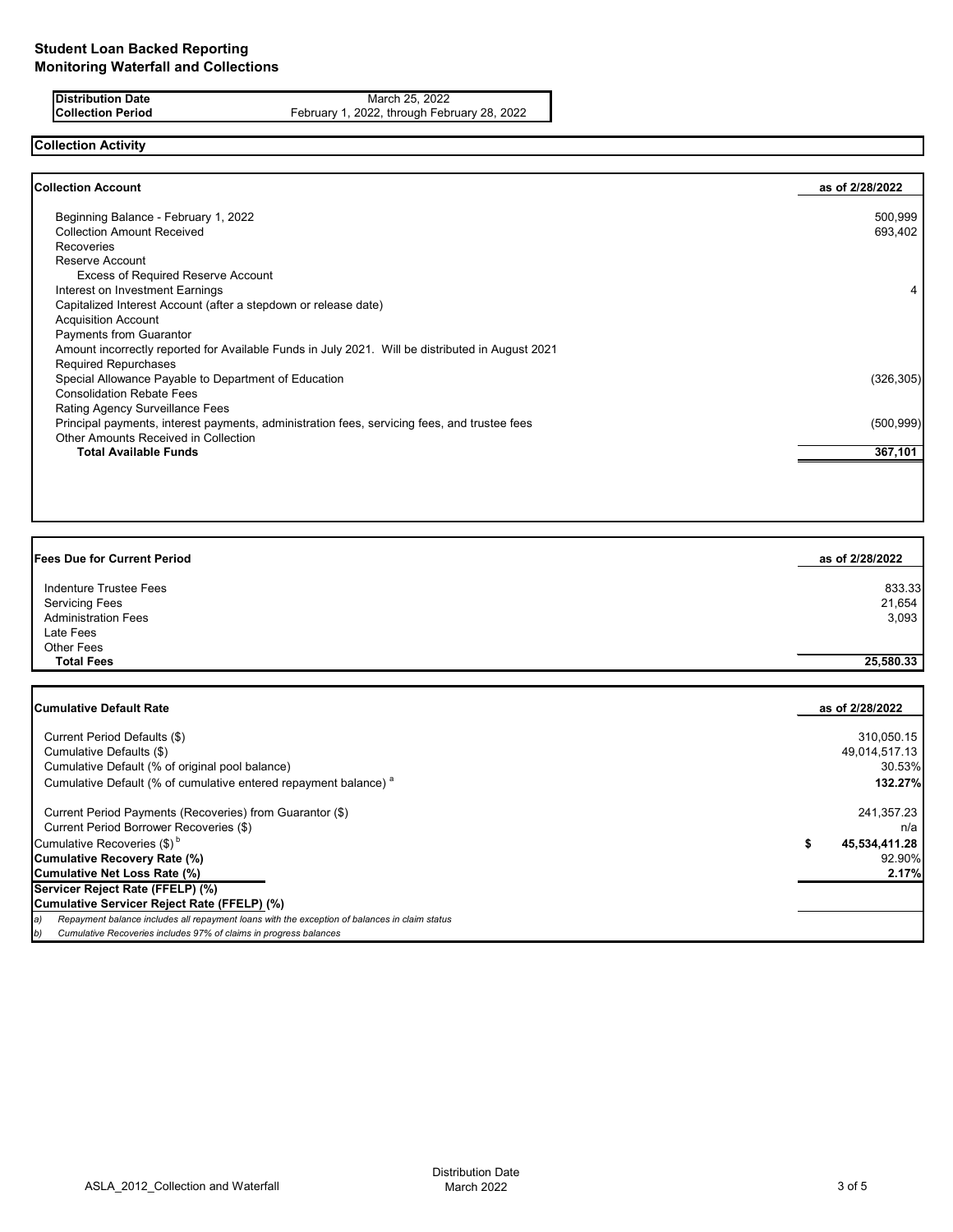**Distribution Date** March 25, 2022<br>**Collection Period** February 1, 2022, through February 1, 2022, through February 1, 2022, through February 1, 20 February 1, 2022, through February 28, 2022

# **Collection Activity**

| <b>Collection Account</b>                                                                        | as of 2/28/2022 |
|--------------------------------------------------------------------------------------------------|-----------------|
| Beginning Balance - February 1, 2022                                                             | 500,999         |
| <b>Collection Amount Received</b>                                                                | 693,402         |
| <b>Recoveries</b>                                                                                |                 |
| Reserve Account                                                                                  |                 |
| <b>Excess of Required Reserve Account</b>                                                        |                 |
| Interest on Investment Earnings                                                                  | 4               |
| Capitalized Interest Account (after a stepdown or release date)                                  |                 |
| <b>Acquisition Account</b>                                                                       |                 |
| <b>Payments from Guarantor</b>                                                                   |                 |
| Amount incorrectly reported for Available Funds in July 2021. Will be distributed in August 2021 |                 |
| <b>Required Repurchases</b>                                                                      |                 |
| Special Allowance Payable to Department of Education                                             | (326, 305)      |
| <b>Consolidation Rebate Fees</b>                                                                 |                 |
| Rating Agency Surveillance Fees                                                                  |                 |
| Principal payments, interest payments, administration fees, servicing fees, and trustee fees     | (500, 999)      |
| Other Amounts Received in Collection                                                             |                 |
| <b>Total Available Funds</b>                                                                     | 367,101         |
|                                                                                                  |                 |

| <b>Fees Due for Current Period</b> | as of 2/28/2022 |
|------------------------------------|-----------------|
| Indenture Trustee Fees             | 833.33          |
| <b>Servicing Fees</b>              | 21,654          |
| <b>Administration Fees</b>         | 3,093           |
| Late Fees                          |                 |
| Other Fees                         |                 |
| <b>Total Fees</b>                  | 25,580.33       |
|                                    |                 |
| <b>Cumulative Default Rate</b>     | as of 2/28/2022 |

| Current Period Defaults (\$)                                                                  | 310,050.15    |
|-----------------------------------------------------------------------------------------------|---------------|
| Cumulative Defaults (\$)                                                                      | 49,014,517.13 |
| Cumulative Default (% of original pool balance)                                               | 30.53%        |
| Cumulative Default (% of cumulative entered repayment balance) <sup>a</sup>                   | 132.27%       |
| Current Period Payments (Recoveries) from Guarantor (\$)                                      | 241,357.23    |
| Current Period Borrower Recoveries (\$)                                                       | n/a           |
| Cumulative Recoveries $(\$)^b$                                                                | 45,534,411.28 |
| <b>Cumulative Recovery Rate (%)</b>                                                           | 92.90%        |
| <b>Cumulative Net Loss Rate (%)</b>                                                           | 2.17%         |
| Servicer Reject Rate (FFELP) (%)                                                              |               |
| Cumulative Servicer Reject Rate (FFELP) (%)                                                   |               |
| Repayment balance includes all repayment loans with the exception of balances in claim status |               |
| Cumulative Recoveries includes 97% of claims in progress balances                             |               |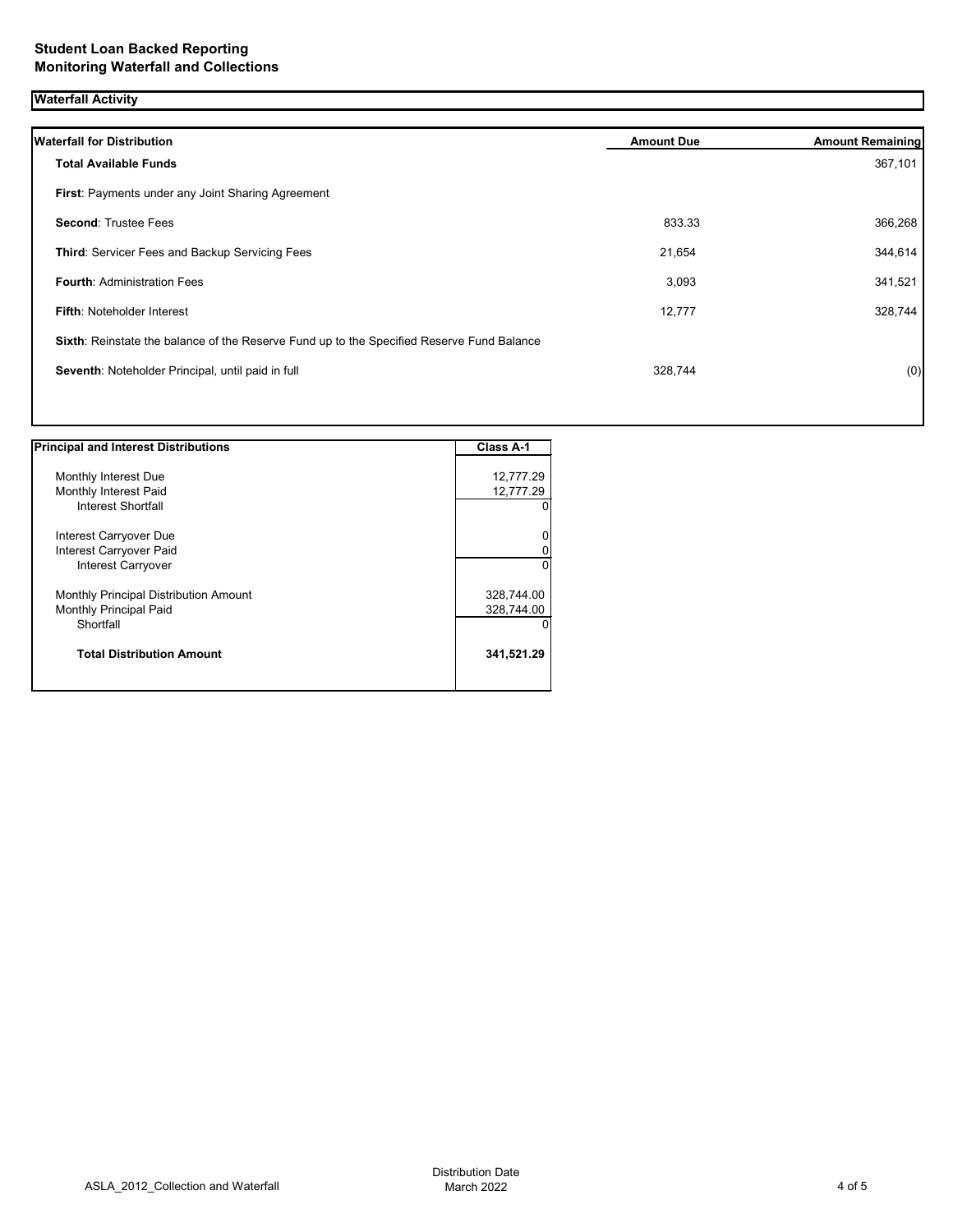## **Waterfall Activity**

| <b>Waterfall for Distribution</b>                                                         | <b>Amount Due</b> | <b>Amount Remaining</b> |
|-------------------------------------------------------------------------------------------|-------------------|-------------------------|
| <b>Total Available Funds</b>                                                              |                   | 367,101                 |
| First: Payments under any Joint Sharing Agreement                                         |                   |                         |
| <b>Second: Trustee Fees</b>                                                               | 833.33            | 366,268                 |
| Third: Servicer Fees and Backup Servicing Fees                                            | 21,654            | 344,614                 |
| <b>Fourth: Administration Fees</b>                                                        | 3,093             | 341,521                 |
| <b>Fifth: Noteholder Interest</b>                                                         | 12,777            | 328,744                 |
| Sixth: Reinstate the balance of the Reserve Fund up to the Specified Reserve Fund Balance |                   |                         |
| Seventh: Noteholder Principal, until paid in full                                         | 328,744           | (0)                     |
|                                                                                           |                   |                         |

| <b>Principal and Interest Distributions</b>  | <b>Class A-1</b> |
|----------------------------------------------|------------------|
|                                              |                  |
| Monthly Interest Due                         | 12,777.29        |
| Monthly Interest Paid                        | 12,777.29        |
| Interest Shortfall                           |                  |
| Interest Carryover Due                       |                  |
| Interest Carryover Paid                      |                  |
| Interest Carryover                           |                  |
| <b>Monthly Principal Distribution Amount</b> | 328,744.00       |
| <b>Monthly Principal Paid</b>                | 328,744.00       |
| Shortfall                                    |                  |
| <b>Total Distribution Amount</b>             | 341,521.29       |
|                                              |                  |